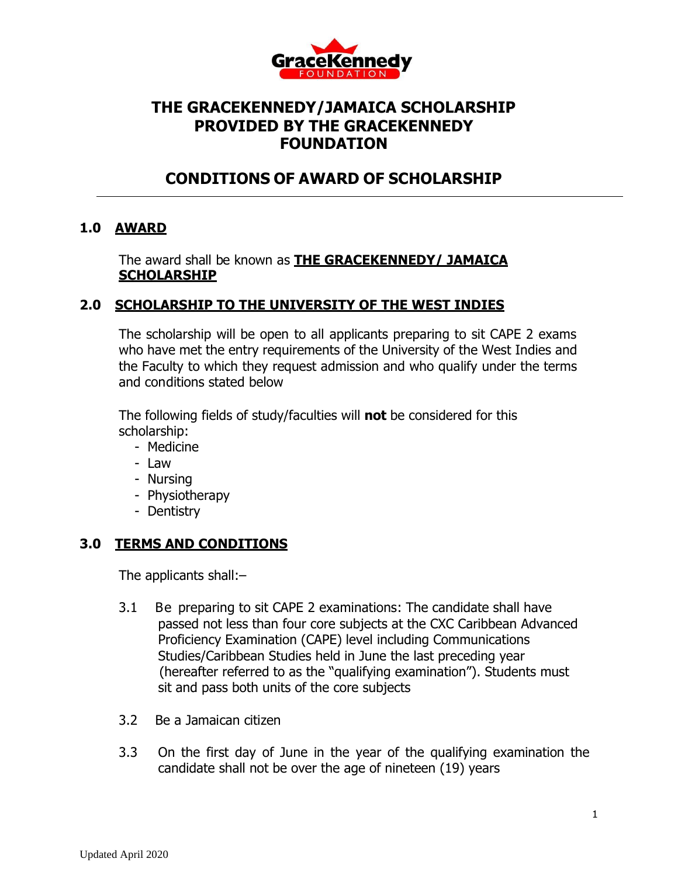

# **THE GRACEKENNEDY/JAMAICA SCHOLARSHIP PROVIDED BY THE GRACEKENNEDY FOUNDATION**

# **CONDITIONS OF AWARD OF SCHOLARSHIP**

### **1.0 AWARD**

The award shall be known as **THE GRACEKENNEDY/ JAMAICA SCHOLARSHIP**

## **2.0 SCHOLARSHIP TO THE UNIVERSITY OF THE WEST INDIES**

The scholarship will be open to all applicants preparing to sit CAPE 2 exams who have met the entry requirements of the University of the West Indies and the Faculty to which they request admission and who qualify under the terms and conditions stated below

The following fields of study/faculties will **not** be considered for this scholarship:

- Medicine
- Law
- Nursing
- Physiotherapy
- Dentistry

### **3.0 TERMS AND CONDITIONS**

The applicants shall:–

- 3.1 Be preparing to sit CAPE 2 examinations: The candidate shall have passed not less than four core subjects at the CXC Caribbean Advanced Proficiency Examination (CAPE) level including Communications Studies/Caribbean Studies held in June the last preceding year (hereafter referred to as the "qualifying examination"). Students must sit and pass both units of the core subjects
- 3.2 Be a Jamaican citizen
- 3.3 On the first day of June in the year of the qualifying examination the candidate shall not be over the age of nineteen (19) years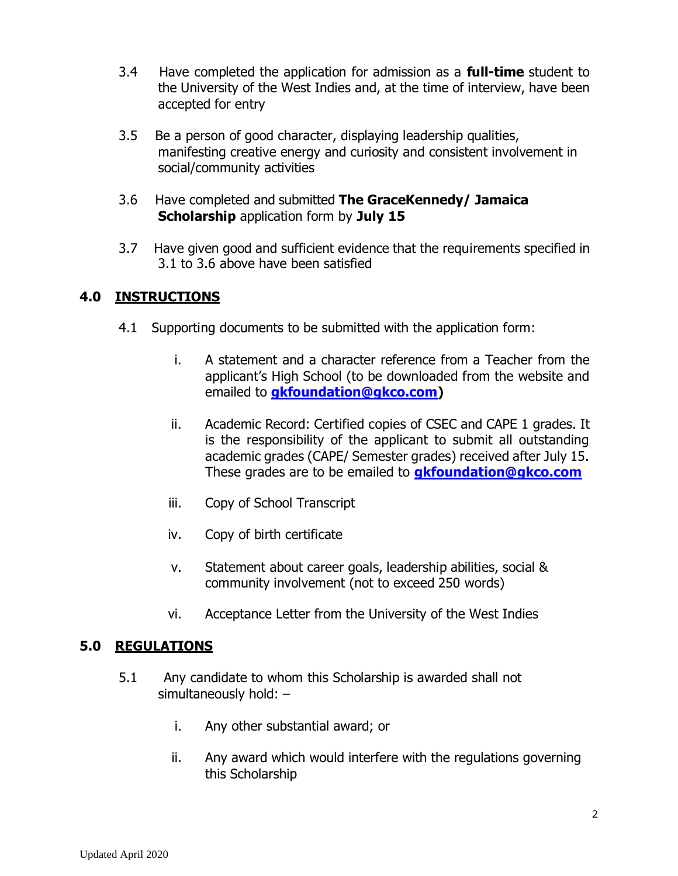- 3.4 Have completed the application for admission as a **full-time** student to the University of the West Indies and, at the time of interview, have been accepted for entry
- 3.5 Be a person of good character, displaying leadership qualities, manifesting creative energy and curiosity and consistent involvement in social/community activities
- 3.6 Have completed and submitted **The GraceKennedy/ Jamaica Scholarship** application form by **July 15**
- 3.7 Have given good and sufficient evidence that the requirements specified in 3.1 to 3.6 above have been satisfied

## **4.0 INSTRUCTIONS**

- 4.1Supporting documents to be submitted with the application form:
	- i. A statement and a character reference from a Teacher from the applicant's High School (to be downloaded from the website and emailed to **[gkfoundation@gkco.com\)](mailto:gkfoundation@gkco.com)**
	- ii. Academic Record: Certified copies of CSEC and CAPE 1 grades. It is the responsibility of the applicant to submit all outstanding academic grades (CAPE/ Semester grades) received after July 15. These grades are to be emailed to **[gkfoundation@gkco.com](mailto:gkfoundation@gkco.com)**
	- iii. Copy of School Transcript
	- iv. Copy of birth certificate
	- v. Statement about career goals, leadership abilities, social & community involvement (not to exceed 250 words)
	- vi. Acceptance Letter from the University of the West Indies

### **5.0 REGULATIONS**

- 5.1 Any candidate to whom this Scholarship is awarded shall not simultaneously hold: –
	- i. Any other substantial award; or
	- ii. Any award which would interfere with the regulations governing this Scholarship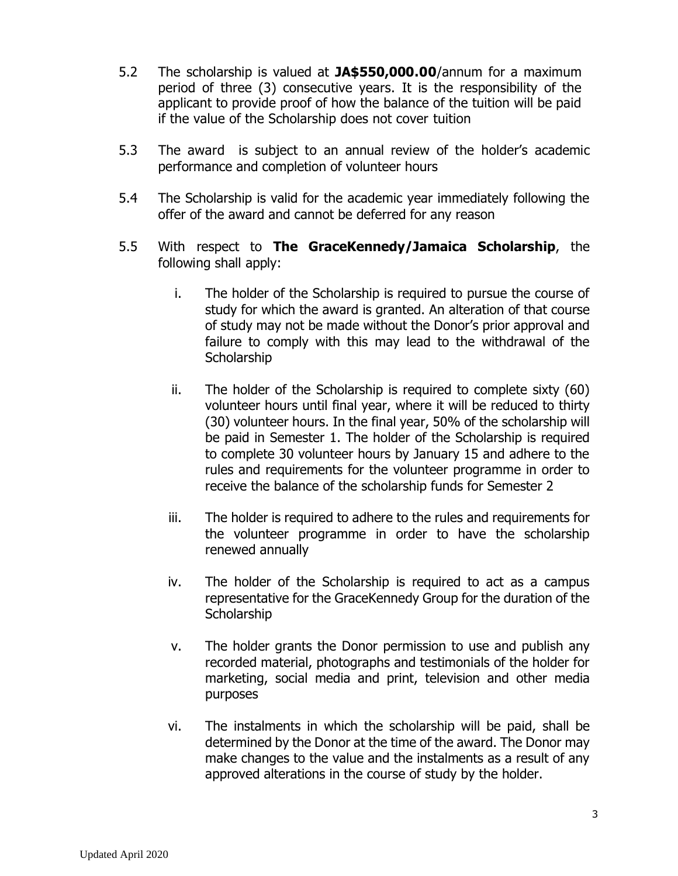- 5.2 The scholarship is valued at **JA\$550,000.00**/annum for a maximum period of three (3) consecutive years. It is the responsibility of the applicant to provide proof of how the balance of the tuition will be paid if the value of the Scholarship does not cover tuition
- 5.3 The award is subject to an annual review of the holder's academic performance and completion of volunteer hours
- 5.4 The Scholarship is valid for the academic year immediately following the offer of the award and cannot be deferred for any reason
- 5.5 With respect to **The GraceKennedy/Jamaica Scholarship**, the following shall apply:
	- i. The holder of the Scholarship is required to pursue the course of study for which the award is granted. An alteration of that course of study may not be made without the Donor's prior approval and failure to comply with this may lead to the withdrawal of the **Scholarship**
	- ii. The holder of the Scholarship is required to complete sixty (60) volunteer hours until final year, where it will be reduced to thirty (30) volunteer hours. In the final year, 50% of the scholarship will be paid in Semester 1. The holder of the Scholarship is required to complete 30 volunteer hours by January 15 and adhere to the rules and requirements for the volunteer programme in order to receive the balance of the scholarship funds for Semester 2
	- iii. The holder is required to adhere to the rules and requirements for the volunteer programme in order to have the scholarship renewed annually
	- iv. The holder of the Scholarship is required to act as a campus representative for the GraceKennedy Group for the duration of the **Scholarship**
	- v. The holder grants the Donor permission to use and publish any recorded material, photographs and testimonials of the holder for marketing, social media and print, television and other media purposes
	- vi. The instalments in which the scholarship will be paid, shall be determined by the Donor at the time of the award. The Donor may make changes to the value and the instalments as a result of any approved alterations in the course of study by the holder.